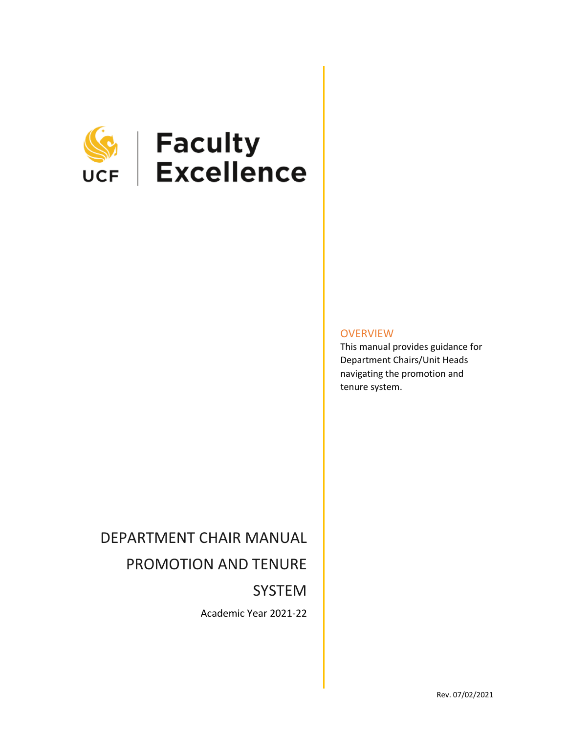

# **SEEP | Faculty<br>UCF | Excellence**

**OVERVIEW** 

This manual provides guidance for Department Chairs/Unit Heads navigating the promotion and tenure system.

## DEPARTMENT CHAIR MANUAL

## PROMOTION AND TENURE

SYSTEM

Academic Year 2021-22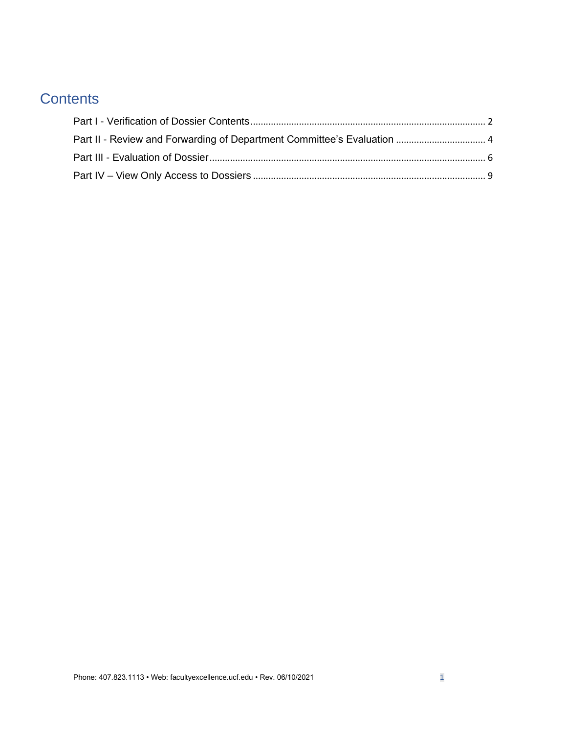## **Contents**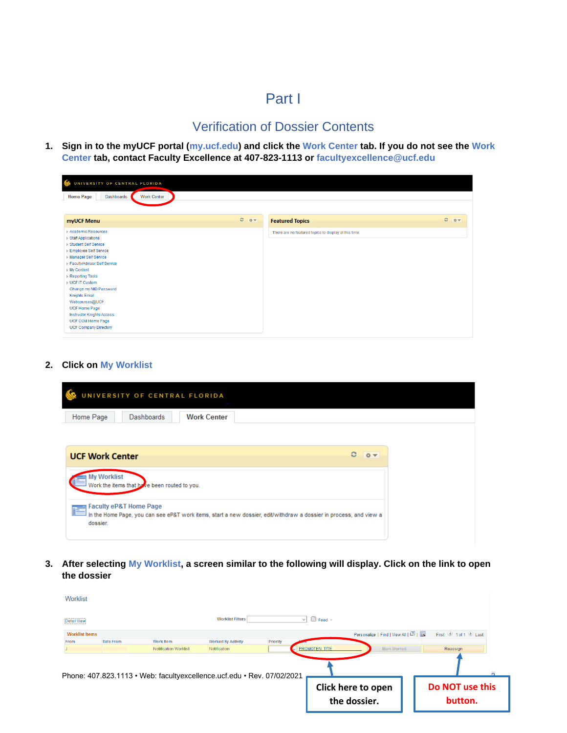## Part I

## Verification of Dossier Contents

<span id="page-2-1"></span><span id="page-2-0"></span>**1. Sign in to the myUCF portal (my.ucf.edu) and click the Work Center tab. If you do not see the Work Center tab, contact Faculty Excellence at 407-823-1113 or [facultyexcellence@ucf.edu](mailto:facultyexcellence@ucf.edu)**

| $\mathbb{C}$<br>UNIVERSITY OF CENTRAL FLORIDA                |           |                                                       |         |
|--------------------------------------------------------------|-----------|-------------------------------------------------------|---------|
| <b>Work Center</b><br>Dashboards<br><b>Home Page</b>         |           |                                                       |         |
|                                                              |           |                                                       |         |
| myUCF Menu                                                   | $C = 0 -$ | <b>Featured Topics</b>                                | $C = 0$ |
| Academic Resources                                           |           | There are no featured topics to display at this time. |         |
| ▶ Staff Applications<br>▶ Student Self Service               |           |                                                       |         |
| Employee Self Service                                        |           |                                                       |         |
| Manager Self Service                                         |           |                                                       |         |
| Faculty/Advisor Self Service                                 |           |                                                       |         |
| ▶ My Content                                                 |           |                                                       |         |
| Reporting Tools                                              |           |                                                       |         |
| <b>NUCF IT Custom</b>                                        |           |                                                       |         |
| Change my NID Password                                       |           |                                                       |         |
| <b>Knights Email</b>                                         |           |                                                       |         |
| Webcourses@UCF                                               |           |                                                       |         |
| <b>UCF Home Page</b>                                         |           |                                                       |         |
| <b>Instructor Knights Access</b><br><b>UCF COM Home Page</b> |           |                                                       |         |
| <b>UCF Company Directory</b>                                 |           |                                                       |         |

#### **2. Click on My Worklist**

| UNIVERSITY OF CENTRAL FLORIDA<br>$\sim$ |                    |  |
|-----------------------------------------|--------------------|--|
| Dashboards<br>Home Page                 | <b>Work Center</b> |  |

| <b>UCF Work Center</b>                                                                                                                                         |  |  |
|----------------------------------------------------------------------------------------------------------------------------------------------------------------|--|--|
| <b>My Worklist</b><br>Work the items that by re been routed to you.                                                                                            |  |  |
| Faculty eP&T Home Page<br>hΞ<br>In the Home Page, you can see eP&T work items, start a new dossier, edit/withdraw a dossier in process, and view a<br>dossier. |  |  |

**3. After selecting My Worklist, a screen similar to the following will display. Click on the link to open the dossier**

| Worklist<br><b>Detail View</b>                                         |           |                       | <b>Worklist Filters</b>   | $\checkmark$ | $\boxdot$ Feed $\sim$  |                                       |                            |
|------------------------------------------------------------------------|-----------|-----------------------|---------------------------|--------------|------------------------|---------------------------------------|----------------------------|
| <b>Worklist Items</b>                                                  |           |                       |                           |              |                        | Personalize   Find   View All   2   표 | First 1 of 1 2 Last        |
| From                                                                   | Date From | <b>Work Item</b>      | <b>Worked By Activity</b> | Priority     |                        |                                       |                            |
|                                                                        |           | Notification Worklist | Notification              |              | <b>PROMOTEN: T/TE:</b> | Mark Worked                           | Reassign                   |
| Phone: 407.823.1113 · Web: facultyexcellence.ucf.edu · Rev. 07/02/2021 |           |                       |                           |              |                        |                                       |                            |
|                                                                        |           |                       |                           |              |                        | Click here to open<br>the dossier.    | Do NOT use this<br>button. |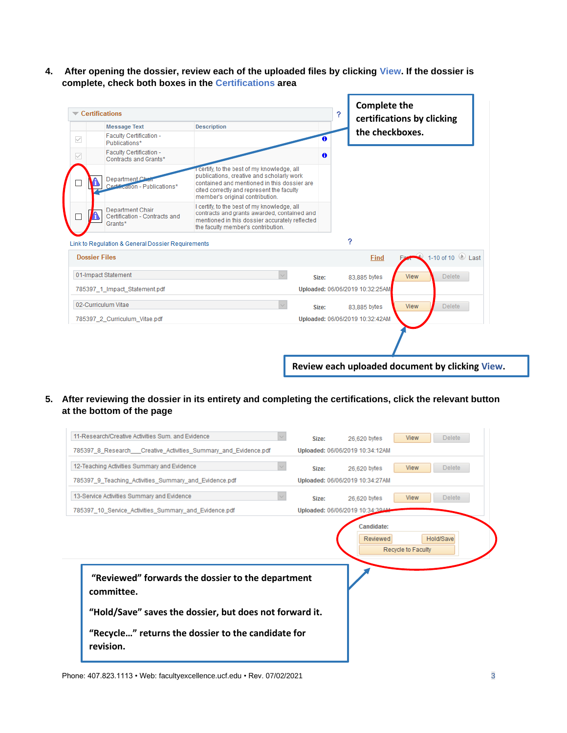**4. After opening the dossier, review each of the uploaded files by clicking View. If the dossier is complete, check both boxes in the Certifications area**

|                      | <b>Certifications</b>                                               |                                                                                                                                                                                                                       |       |   | ? | <b>Complete the</b>             |             | certifications by clicking                      |
|----------------------|---------------------------------------------------------------------|-----------------------------------------------------------------------------------------------------------------------------------------------------------------------------------------------------------------------|-------|---|---|---------------------------------|-------------|-------------------------------------------------|
|                      | <b>Message Text</b>                                                 | <b>Description</b>                                                                                                                                                                                                    |       |   |   |                                 |             |                                                 |
| $\checkmark$         | Faculty Certification -<br>Publications*                            |                                                                                                                                                                                                                       |       |   |   | the checkboxes.                 |             |                                                 |
| $\checkmark$         | Faculty Certification -<br>Contracts and Grants*                    |                                                                                                                                                                                                                       |       | 0 |   |                                 |             |                                                 |
|                      | Department Ch<br>Certification - Publications*                      | certify, to the best of my knowledge, all<br>publications, creative and scholarly work<br>contained and mentioned in this dossier are<br>cited correctly and represent the faculty<br>member's original contribution. |       |   |   |                                 |             |                                                 |
|                      | <b>Department Chair</b><br>Certification - Contracts and<br>Grants* | I certify, to the best of my knowledge, all<br>contracts and grants awarded, contained and<br>mentioned in this dossier accurately reflected<br>the faculty member's contribution.                                    |       |   |   |                                 |             |                                                 |
|                      | Link to Regulation & General Dossier Reguirements                   |                                                                                                                                                                                                                       |       |   |   | ?                               |             |                                                 |
| <b>Dossier Files</b> |                                                                     |                                                                                                                                                                                                                       |       |   |   | Find                            |             | $\bigcirc$ 1-10 of 10 $\bigcirc$ Last           |
|                      | 01-Impact Statement                                                 |                                                                                                                                                                                                                       | Size: |   |   | 83,885 bytes                    | <b>View</b> | <b>Delete</b>                                   |
|                      | 785397 1 Impact Statement.pdf                                       |                                                                                                                                                                                                                       |       |   |   | Uploaded: 06/06/2019 10:32:25AM |             |                                                 |
|                      | 02-Curriculum Vitae                                                 |                                                                                                                                                                                                                       | Size: |   |   | 83,885 bytes                    | <b>View</b> | <b>Delete</b>                                   |
|                      | 785397_2_Curriculum_Vitae.pdf                                       |                                                                                                                                                                                                                       |       |   |   | Uploaded: 06/06/2019 10:32:42AM |             |                                                 |
|                      |                                                                     |                                                                                                                                                                                                                       |       |   |   |                                 |             |                                                 |
|                      |                                                                     |                                                                                                                                                                                                                       |       |   |   |                                 |             | Review each uploaded document by clicking View. |

**5. After reviewing the dossier in its entirety and completing the certifications, click the relevant button at the bottom of the page**

|                                                                 | Size: | 26,620 bytes                    | <b>View</b>        | <b>Delete</b> |
|-----------------------------------------------------------------|-------|---------------------------------|--------------------|---------------|
| 785397 8 Research Creative Activities Summary and Evidence.pdf  |       | Uploaded: 06/06/2019 10:34:12AM |                    |               |
| 12-Teaching Activities Summary and Evidence                     | Size: | 26,620 bytes                    | <b>View</b>        | <b>Delete</b> |
| 785397 9 Teaching Activities Summary and Evidence.pdf           |       | Uploaded: 06/06/2019 10:34:27AM |                    |               |
| 13-Service Activities Summary and Evidence                      | Size: | 26,620 bytes                    | <b>View</b>        | <b>Delete</b> |
| 785397 10 Service Activities Summary and Evidence.pdf           |       | Uploaded: 06/06/2019 10:34:39AM |                    |               |
|                                                                 |       |                                 | Recycle to Faculty |               |
| "Reviewed" forwards the dossier to the department<br>committee. |       |                                 |                    |               |
| "Hold/Save" saves the dossier, but does not forward it.         |       |                                 |                    |               |

Phone: 407.823.1113 • Web: facultyexcellence.ucf.edu • Rev. 07/02/2021 3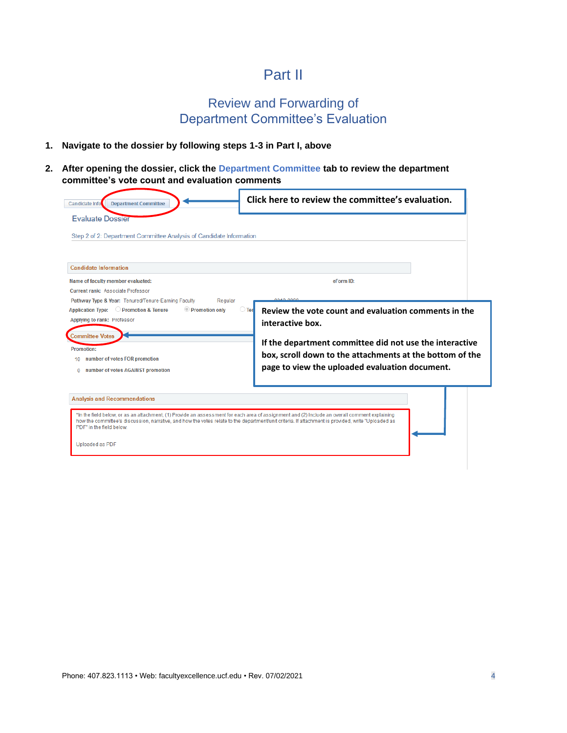## Part II

## Review and Forwarding of Department Committee's Evaluation

#### <span id="page-4-1"></span><span id="page-4-0"></span>**1. Navigate to the dossier by following steps 1-3 in Part I, above**

**2. After opening the dossier, click the Department Committee tab to review the department committee's vote count and evaluation comments**

| <b>Department Committee</b><br>Candidate Info                                                                                                                                                                                                                                                                                              | Click here to review the committee's evaluation.                                                                                                                                                                                                                    |
|--------------------------------------------------------------------------------------------------------------------------------------------------------------------------------------------------------------------------------------------------------------------------------------------------------------------------------------------|---------------------------------------------------------------------------------------------------------------------------------------------------------------------------------------------------------------------------------------------------------------------|
| <b>Evaluate Dossier</b>                                                                                                                                                                                                                                                                                                                    |                                                                                                                                                                                                                                                                     |
| Step 2 of 2: Department Committee Analysis of Candidate Information                                                                                                                                                                                                                                                                        |                                                                                                                                                                                                                                                                     |
| <b>Candidate Information</b>                                                                                                                                                                                                                                                                                                               |                                                                                                                                                                                                                                                                     |
| Name of faculty member evaluated:                                                                                                                                                                                                                                                                                                          | eForm ID:                                                                                                                                                                                                                                                           |
| <b>Current rank: Associate Professor</b>                                                                                                                                                                                                                                                                                                   |                                                                                                                                                                                                                                                                     |
| Promotion & Tenure<br>Promotion only<br><b>Application Type:</b><br>Applying to rank: Professor<br><b>Committee Votes</b><br><b>Promotion:</b><br>number of votes FOR promotion<br>$10^{-1}$<br>number of votes AGAINST promotion<br>$\Omega$                                                                                              | $\bigcirc$ Ten<br>Review the vote count and evaluation comments in the<br>interactive box.<br>If the department committee did not use the interactive<br>box, scroll down to the attachments at the bottom of the<br>page to view the uploaded evaluation document. |
| <b>Analysis and Recommendations</b><br>*In the field below, or as an attachment, (1) Provide an assessment for each area of assignment and (2) Include an overall comment explaining<br>how the committee's discussion, narrative, and how the votes relate to the department/unit criteria. If attachment is provided, write "Uploaded as |                                                                                                                                                                                                                                                                     |

Uploaded as PDF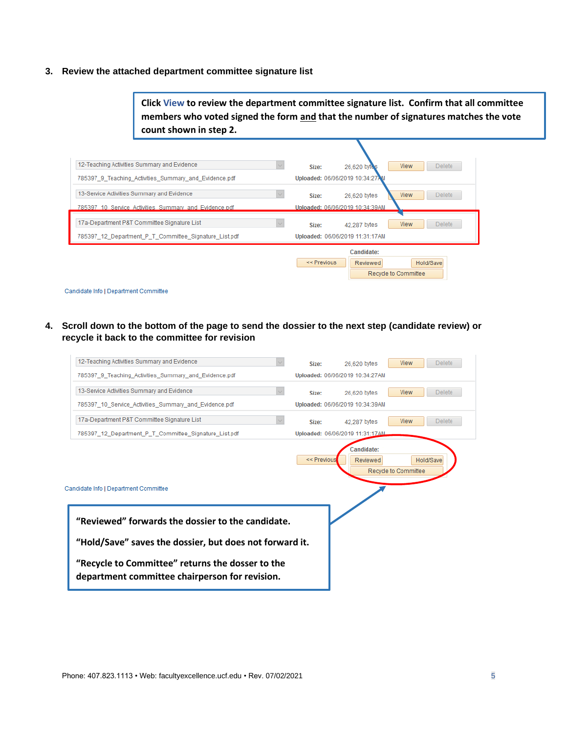#### **3. Review the attached department committee signature list**

**Click View to review the department committee signature list. Confirm that all committee members who voted signed the form and that the number of signatures matches the vote count shown in step 2.**

| 12-Teaching Activities Summary and Evidence           | <b>View</b><br><b>Delete</b><br>26,620 bytes<br>Size:                               |  |
|-------------------------------------------------------|-------------------------------------------------------------------------------------|--|
| 785397_9_Teaching_Activities_Summary_and_Evidence.pdf | Uploaded: 06/06/2019 10:34:27AM                                                     |  |
| 13-Service Activities Summary and Evidence            | <b>Delete</b><br><b>View</b><br>26,620 bytes<br>Size:                               |  |
| 785397 10 Service Activities Summary and Evidence.pdf | Uploaded: 06/06/2019 10:34:39AM                                                     |  |
| 17a-Department P&T Committee Signature List           | <b>Delete</b><br><b>View</b><br>42.287 bytes<br>Size:                               |  |
| 785397 12 Department P T Committee Signature List.pdf | Uploaded: 06/06/2019 11:31:17AM                                                     |  |
|                                                       | Candidate:<br>$<<$ Previous<br>Hold/Save<br>Reviewed<br><b>Recycle to Committee</b> |  |

Candidate Info | Department Committee

**4. Scroll down to the bottom of the page to send the dossier to the next step (candidate review) or recycle it back to the committee for revision**

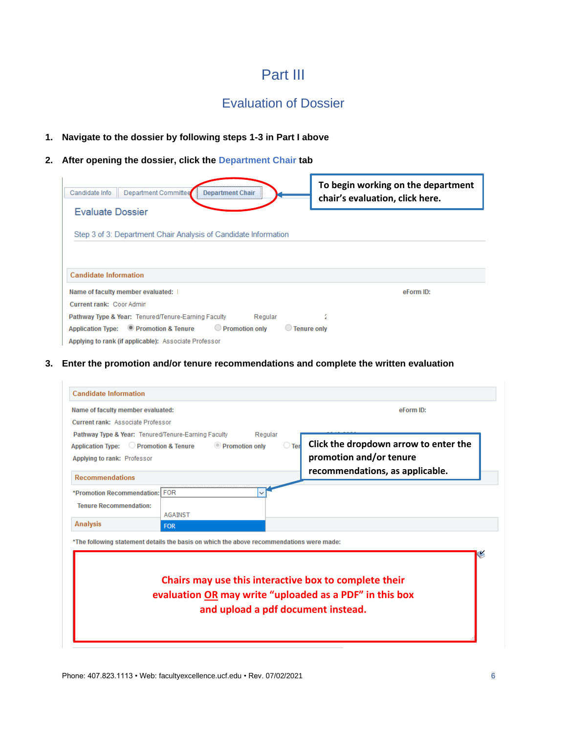## Part III

## Evaluation of Dossier

#### <span id="page-6-1"></span><span id="page-6-0"></span>**1. Navigate to the dossier by following steps 1-3 in Part I above**

## **2. After opening the dossier, click the Department Chair tab**

| Department Committee<br>Candidate Info<br><b>Department Chair</b>                       | To begin working on the department<br>chair's evaluation, click here. |
|-----------------------------------------------------------------------------------------|-----------------------------------------------------------------------|
| <b>Evaluate Dossier</b>                                                                 |                                                                       |
| Step 3 of 3: Department Chair Analysis of Candidate Information                         |                                                                       |
|                                                                                         |                                                                       |
| <b>Candidate Information</b>                                                            |                                                                       |
| Name of faculty member evaluated:                                                       | eForm ID:                                                             |
| <b>Current rank: Coor Admin</b>                                                         |                                                                       |
| Pathway Type & Year: Tenured/Tenure-Earning Faculty<br>Regular                          | í                                                                     |
| Promotion only<br>Application Type: <b>Promotion &amp; Tenure</b><br><b>Tenure only</b> |                                                                       |
| Applying to rank (if applicable): Associate Professor                                   |                                                                       |

**3. Enter the promotion and/or tenure recommendations and complete the written evaluation**

| Name of faculty member evaluated:                   |                                                                                          | eForm ID:                                               |
|-----------------------------------------------------|------------------------------------------------------------------------------------------|---------------------------------------------------------|
| Current rank: Associate Professor                   |                                                                                          |                                                         |
| Pathway Type & Year: Tenured/Tenure-Earning Faculty | Regular                                                                                  |                                                         |
| Application Type: C Promotion & Tenure              | <b>Promotion only</b>                                                                    | Click the dropdown arrow to enter the<br>$\bigcirc$ Ter |
| Applying to rank: Professor                         |                                                                                          | promotion and/or tenure                                 |
| <b>Recommendations</b>                              |                                                                                          | recommendations, as applicable.                         |
| *Promotion Recommendation: FOR                      |                                                                                          |                                                         |
| <b>Tenure Recommendation:</b>                       |                                                                                          |                                                         |
|                                                     | <b>AGAINST</b>                                                                           |                                                         |
| <b>Analysis</b>                                     | <b>FOR</b>                                                                               |                                                         |
|                                                     | *The following statement details the basis on which the above recommendations were made: |                                                         |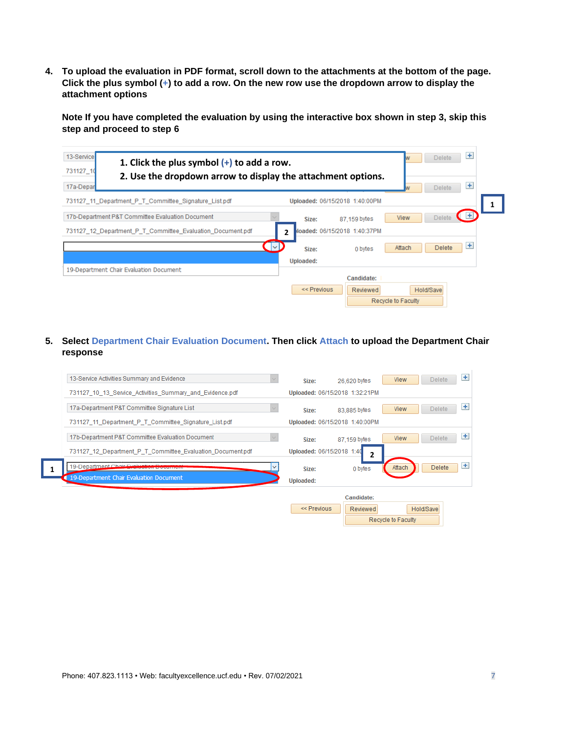**4. To upload the evaluation in PDF format, scroll down to the attachments at the bottom of the page. Click the plus symbol (+) to add a row. On the new row use the dropdown arrow to display the attachment options**

**Note If you have completed the evaluation by using the interactive box shown in step 3, skip this step and proceed to step 6**

| 13-Service<br>1. Click the plus symbol $(+)$ to add a row.<br>731127 10<br>2. Use the dropdown arrow to display the attachment options.<br>17a-Depar | ÷<br>Delete<br>王<br>Delete                                                                                   |
|------------------------------------------------------------------------------------------------------------------------------------------------------|--------------------------------------------------------------------------------------------------------------|
| 731127 11 Department P T Committee Signature List.pdf                                                                                                | Uploaded: 06/15/2018 1:40:00PM                                                                               |
| 17b-Department P&T Committee Evaluation Document<br>731127 12 Department P T Committee Evaluation Document.pdf                                       | Œ<br><b>Delete</b><br><b>View</b><br>87.159 bytes<br>Size:<br>loaded: 06/15/2018 1:40:37PM<br>$\overline{2}$ |
|                                                                                                                                                      | $\pm$<br>$\sim$<br>Attach<br><b>Delete</b><br>0 bytes<br>Size:<br>Uploaded:                                  |
| 19-Department Chair Evaluation Document                                                                                                              | Candidate:                                                                                                   |
|                                                                                                                                                      | $<<$ Previous<br>Hold/Save<br>Reviewed<br>Recycle to Faculty                                                 |

**5. Select Department Chair Evaluation Document. Then click Attach to upload the Department Chair response**

| 13-Service Activities Summary and Evidence                 | Size:                     | 26,620 bytes                   | <b>View</b>        | $+$<br>Delete        |
|------------------------------------------------------------|---------------------------|--------------------------------|--------------------|----------------------|
| 731127 10 13 Service Activities Summary and Evidence.pdf   |                           | Uploaded: 06/15/2018 1:32:21PM |                    |                      |
| 17a-Department P&T Committee Signature List                | Size:                     | 83,885 bytes                   | <b>View</b>        | $+$<br><b>Delete</b> |
| 731127_11_Department_P_T_Committee_Signature_List.pdf      |                           | Uploaded: 06/15/2018 1:40:00PM |                    |                      |
| 17b-Department P&T Committee Evaluation Document           | Size:                     | 87,159 bytes                   | <b>View</b>        | $+$<br><b>Delete</b> |
| 731127 12 Department P T Committee Evaluation Document.pdf | Uploaded: 06/15/2018 1:40 | $\overline{2}$                 |                    |                      |
| 19-Department Chair Evoluction Decumer                     | Size:                     | 0 bytes                        | Attach             | $+$<br><b>Delete</b> |
| 19-Department Chair Evaluation Document                    | <b>Uploaded:</b>          |                                |                    |                      |
|                                                            |                           | Candidate:                     |                    |                      |
|                                                            | << Previous               | <b>Reviewed</b>                | Hold/Save          |                      |
|                                                            |                           |                                | Recycle to Faculty |                      |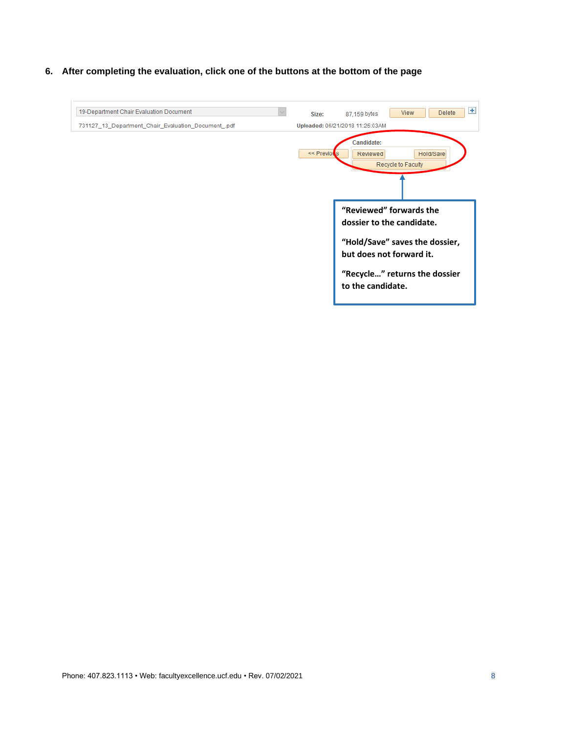**6. After completing the evaluation, click one of the buttons at the bottom of the page**

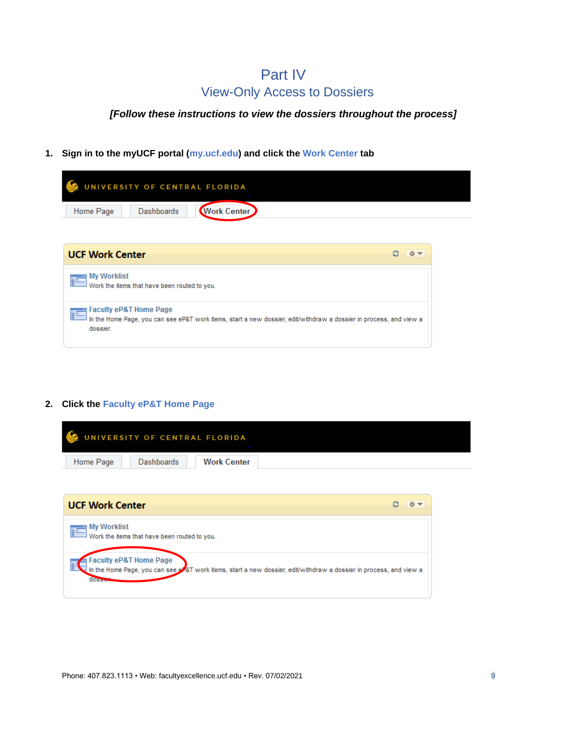## Part IV View-Only Access to Dossiers

## <span id="page-9-0"></span>*[Follow these instructions to view the dossiers throughout the process]*

#### **1. Sign in to the myUCF portal (my.ucf.edu) and click the Work Center tab**

|                                    | UNIVERSITY OF CENTRAL FLORIDA                |                                                                                                                    |  |
|------------------------------------|----------------------------------------------|--------------------------------------------------------------------------------------------------------------------|--|
| Home Page                          | <b>Dashboards</b>                            | <b>Work Center</b>                                                                                                 |  |
| <b>UCF Work Center</b>             |                                              |                                                                                                                    |  |
| <b>My Worklist</b>                 | Work the items that have been routed to you. |                                                                                                                    |  |
| Faculty eP&T Home Page<br>dossier. |                                              | In the Home Page, you can see eP&T work items, start a new dossier, edit/withdraw a dossier in process, and view a |  |

#### **2. Click the Faculty eP&T Home Page**

|           | UNIVERSITY OF CENTRAL FLORIDA |                    |  |
|-----------|-------------------------------|--------------------|--|
| Home Page | Dashboards                    | <b>Work Center</b> |  |

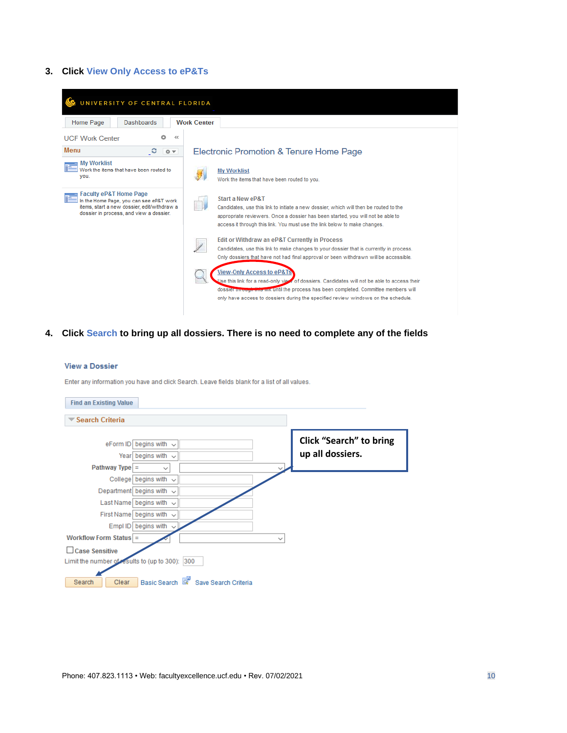#### **3. Click View Only Access to eP&Ts**

| UNIVERSITY OF CENTRAL FLORIDA                                                                                                                                          |                                                                                                                                                                                                                                                                                                                       |
|------------------------------------------------------------------------------------------------------------------------------------------------------------------------|-----------------------------------------------------------------------------------------------------------------------------------------------------------------------------------------------------------------------------------------------------------------------------------------------------------------------|
| Dashboards<br>Home Page                                                                                                                                                | <b>Work Center</b>                                                                                                                                                                                                                                                                                                    |
| <b>UCF Work Center</b><br>≪                                                                                                                                            |                                                                                                                                                                                                                                                                                                                       |
| Menu<br>C<br>春天                                                                                                                                                        | <b>Electronic Promotion &amp; Tenure Home Page</b>                                                                                                                                                                                                                                                                    |
| <b>My Worklist</b><br>Work the items that have been routed to<br>you.                                                                                                  | <b>My Worklist</b><br>Work the items that have been routed to you.                                                                                                                                                                                                                                                    |
| <b>Faculty eP&amp;T Home Page</b><br>In the Home Page, you can see eP&T work<br>items, start a new dossier, edit/withdraw a<br>dossier in process, and view a dossier. | Start a New eP&T<br>Candidates, use this link to initiate a new dossier, which will then be routed to the<br>appropriate reviewers. Once a dossier has been started, you will not be able to<br>access it through this link. You must use the link below to make changes.                                             |
|                                                                                                                                                                        | Edit or Withdraw an eP&T Currently in Process<br>Candidates, use this link to make changes to your dossier that is currently in process.<br>Only dossiers that have not had final approval or been withdrawn will be accessible.                                                                                      |
|                                                                                                                                                                        | <b>View-Only Access to eP&amp;Ts</b><br>Use this link for a read-only view of dossiers. Candidates will not be able to access their<br>dossier through this line in until the process has been completed. Committee members will<br>only have access to dossiers during the specified review windows on the schedule. |

## **4. Click Search to bring up all dossiers. There is no need to complete any of the fields**

#### **View a Dossier**

Enter any information you have and click Search. Leave fields blank for a list of all values.

| <b>Find an Existing Value</b>                   |                                                                        |                                     |              |                                                    |
|-------------------------------------------------|------------------------------------------------------------------------|-------------------------------------|--------------|----------------------------------------------------|
| <b>▼ Search Criteria</b>                        |                                                                        |                                     |              |                                                    |
| Pathway Type $=$                                | eForm ID begins with $\sim$<br>Year begins with $\sim$<br>$\checkmark$ |                                     |              | <b>Click "Search" to bring</b><br>up all dossiers. |
|                                                 | College begins with<br>$\sim$                                          |                                     |              |                                                    |
| Department begins with                          | $\checkmark$                                                           |                                     |              |                                                    |
|                                                 | Last Name begins with $\sim$                                           |                                     |              |                                                    |
|                                                 | First Name begins with $\sim$                                          |                                     |              |                                                    |
|                                                 | Empl ID begins with<br>$\checkmark$                                    |                                     |              |                                                    |
| Workflow Form Status $=$                        |                                                                        |                                     | $\checkmark$ |                                                    |
| Case Sensitive                                  |                                                                        |                                     |              |                                                    |
| Limit the number of results to (up to 300): 300 |                                                                        |                                     |              |                                                    |
| Clear<br>Search                                 |                                                                        | Basic Search & Save Search Criteria |              |                                                    |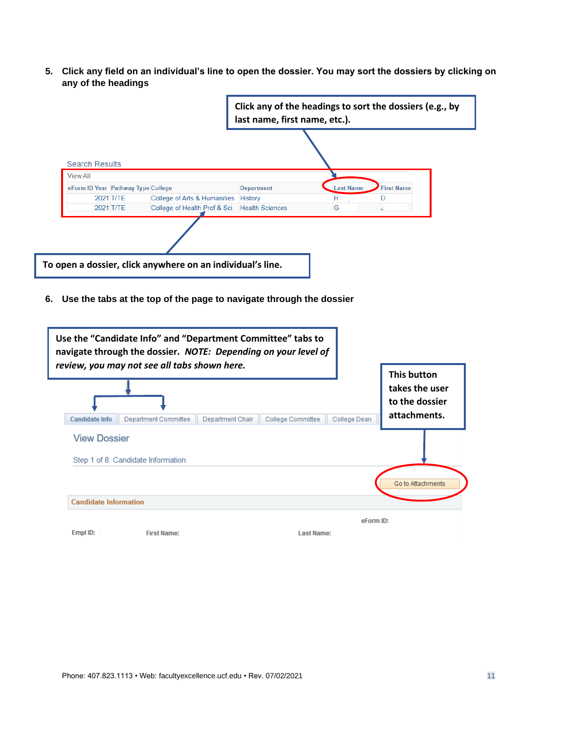**5. Click any field on an individual's line to open the dossier. You may sort the dossiers by clicking on any of the headings**

|                                                                                                                                                                                                                                                            | Click any of the headings to sort the dossiers (e.g., by<br>last name, first name, etc.). |                                                  |  |  |  |
|------------------------------------------------------------------------------------------------------------------------------------------------------------------------------------------------------------------------------------------------------------|-------------------------------------------------------------------------------------------|--------------------------------------------------|--|--|--|
| <b>Search Results</b><br><b>View All</b><br>eForm ID Year Pathway Type College<br>College of Arts & Humanities History<br>2021 T/TE<br>2021 T/TE<br>College of Health Prof & Sci                                                                           | <b>Last Name</b><br><b>Department</b><br>н<br>G<br><b>Health Sciences</b>                 | <b>First Name</b><br>D<br>J                      |  |  |  |
| To open a dossier, click anywhere on an individual's line.                                                                                                                                                                                                 |                                                                                           |                                                  |  |  |  |
| Use the tabs at the top of the page to navigate through the dossier<br>6.<br>Use the "Candidate Info" and "Department Committee" tabs to<br>navigate through the dossier. NOTE: Depending on your level of<br>review, you may not see all tabs shown here. |                                                                                           | <b>This button</b>                               |  |  |  |
| <b>Candidate Info</b><br>Department Committee<br>Department Chair                                                                                                                                                                                          | College Committee<br>College Dean                                                         | takes the user<br>to the dossier<br>attachments. |  |  |  |
| <b>View Dossier</b><br>Step 1 of 8: Candidate Information                                                                                                                                                                                                  |                                                                                           | Go to Attachments                                |  |  |  |
| <b>Candidate Information</b>                                                                                                                                                                                                                               |                                                                                           |                                                  |  |  |  |
| Empl ID:<br><b>First Name:</b>                                                                                                                                                                                                                             | eForm ID:<br><b>Last Name:</b>                                                            |                                                  |  |  |  |